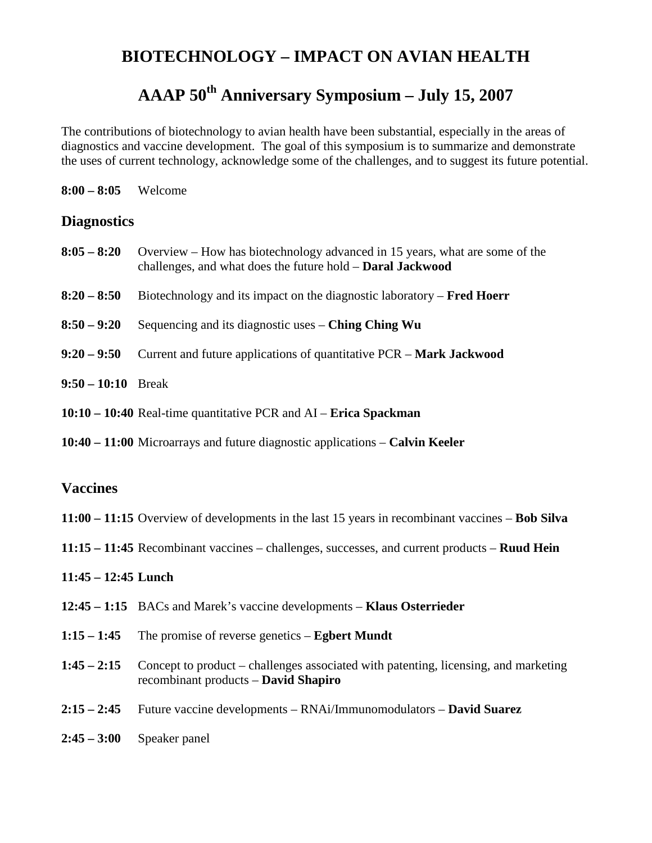## **BIOTECHNOLOGY – IMPACT ON AVIAN HEALTH**

# **AAAP 50th Anniversary Symposium – July 15, 2007**

The contributions of biotechnology to avian health have been substantial, especially in the areas of diagnostics and vaccine development. The goal of this symposium is to summarize and demonstrate the uses of current technology, acknowledge some of the challenges, and to suggest its future potential.

| $8:00 - 8:05$ | Welcome |
|---------------|---------|
|---------------|---------|

### **Diagnostics**

|                      | 8:05 – 8:20 Overview – How has biotechnology advanced in 15 years, what are some of the<br>challenges, and what does the future hold - Daral Jackwood |
|----------------------|-------------------------------------------------------------------------------------------------------------------------------------------------------|
| $8:20 - 8:50$        | Biotechnology and its impact on the diagnostic laboratory $-$ <b>Fred Hoerr</b>                                                                       |
| $8:50 - 9:20$        | Sequencing and its diagnostic uses $-$ Ching Ching Wu                                                                                                 |
| $9:20 - 9:50$        | Current and future applications of quantitative PCR – Mark Jackwood                                                                                   |
| $9:50 - 10:10$ Break |                                                                                                                                                       |
|                      | $10:10 - 10:40$ Real-time quantitative PCR and AI – Erica Spackman                                                                                    |

**10:40 – 11:00** Microarrays and future diagnostic applications – **Calvin Keeler**

#### **Vaccines**

- **11:00 – 11:15** Overview of developments in the last 15 years in recombinant vaccines **Bob Silva**
- **11:15 – 11:45** Recombinant vaccines challenges, successes, and current products **Ruud Hein**

#### **11:45 – 12:45 Lunch**

- **12:45 – 1:15** BACs and Marek's vaccine developments **Klaus Osterrieder**
- **1:15 – 1:45** The promise of reverse genetics **Egbert Mundt**
- **1:45 – 2:15** Concept to product challenges associated with patenting, licensing, and marketing recombinant products – **David Shapiro**
- **2:15 – 2:45** Future vaccine developments RNAi/Immunomodulators **David Suarez**
- **2:45 – 3:00** Speaker panel